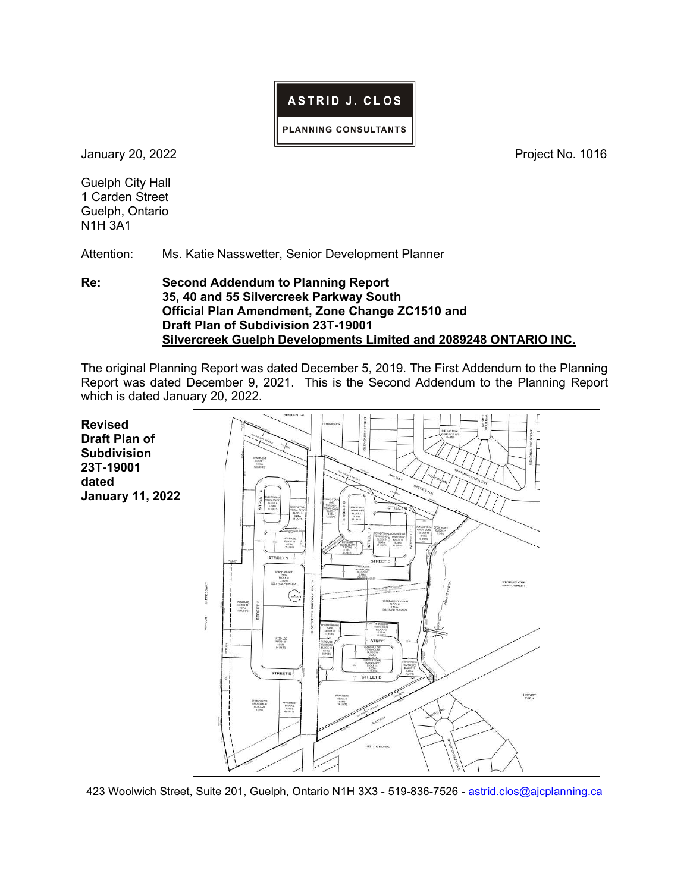## ASTRID J. CLOS

PLANNING CONSULTANTS

January 20, 2022 **Project No. 1016** 

Guelph City Hall 1 Carden Street Guelph, Ontario N1H 3A1

Attention: Ms. Katie Nasswetter, Senior Development Planner

Re: Second Addendum to Planning Report 35, 40 and 55 Silvercreek Parkway South Official Plan Amendment, Zone Change ZC1510 and Draft Plan of Subdivision 23T-19001 Silvercreek Guelph Developments Limited and 2089248 ONTARIO INC.

The original Planning Report was dated December 5, 2019. The First Addendum to the Planning Report was dated December 9, 2021. This is the Second Addendum to the Planning Report which is dated January 20, 2022.

Revised Draft Plan of Subdivision ARANTMENT 23T-19001 dated January 11, 2022 DWN-CU<br>#LCCK 4<br>#LUVITS HNH00<br>11.00K S<br>0.20Yu<br>2 UNTS MARD-USE<br>81,000 18<br>25 UNITS REDGK **STREET A** MINK SOUND<br>NARK<br>BLOCK 21<br>GJT2Y6 STORMWATER  $\odot$ WARD USE<br>81/006 19<br>107 UNITS **POURHOOD PARK**<br>**BLOCK 22**<br>I TRING REET E **NOTIN** TOWN-**WHED USE**<br>#4.00K20<br>4.04N STREET D STREET E  $0.23$  M **STREET** HOWITT HARTMEN<br>BLOCK 3<br>1.21hp<br>1.91/4070 STORWARTER<br>MANAGEMENT<br>BLOCK 20 APARTMEN<br>BLOCK 2<br>BA688

423 Woolwich Street, Suite 201, Guelph, Ontario N1H 3X3 - 519-836-7526 - astrid.clos@ajcplanning.ca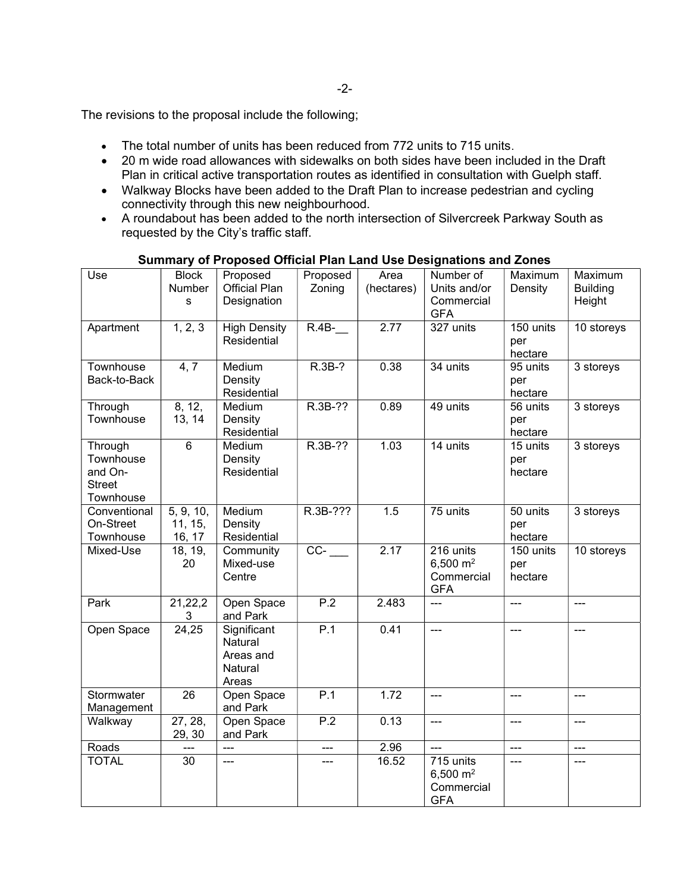The revisions to the proposal include the following;

- The total number of units has been reduced from 772 units to 715 units.
- 20 m wide road allowances with sidewalks on both sides have been included in the Draft Plan in critical active transportation routes as identified in consultation with Guelph staff.
- Walkway Blocks have been added to the Draft Plan to increase pedestrian and cycling connectivity through this new neighbourhood.
- A roundabout has been added to the north intersection of Silvercreek Parkway South as requested by the City's traffic staff.

| Use                                                           | <b>Block</b><br>Number<br>s    | Proposed<br><b>Official Plan</b><br>Designation         | Proposed<br>Zoning | Area<br>(hectares) | Number of<br>Units and/or<br>Commercial<br><b>GFA</b> | Maximum<br>Density          | Maximum<br><b>Building</b><br>Height |
|---------------------------------------------------------------|--------------------------------|---------------------------------------------------------|--------------------|--------------------|-------------------------------------------------------|-----------------------------|--------------------------------------|
| Apartment                                                     | 1, 2, 3                        | <b>High Density</b><br>Residential                      | $R.4B-$            | $\overline{2.77}$  | $\overline{327}$ units                                | 150 units<br>per<br>hectare | 10 storeys                           |
| Townhouse<br>Back-to-Back                                     | 4, 7                           | Medium<br>Density<br>Residential                        | $R.3B-?$           | 0.38               | 34 units                                              | 95 units<br>per<br>hectare  | 3 storeys                            |
| Through<br>Townhouse                                          | 8, 12,<br>13, 14               | Medium<br>Density<br>Residential                        | R.3B-??            | 0.89               | 49 units                                              | 56 units<br>per<br>hectare  | 3 storeys                            |
| Through<br>Townhouse<br>and On-<br><b>Street</b><br>Townhouse | $\overline{6}$                 | Medium<br>Density<br>Residential                        | R.3B-??            | 1.03               | 14 units                                              | 15 units<br>per<br>hectare  | 3 storeys                            |
| Conventional<br>On-Street<br>Townhouse                        | 5, 9, 10,<br>11, 15,<br>16, 17 | Medium<br>Density<br>Residential                        | R.3B-???           | 1.5                | 75 units                                              | 50 units<br>per<br>hectare  | 3 storeys                            |
| Mixed-Use                                                     | 18, 19,<br>20                  | Community<br>Mixed-use<br>Centre                        | $\overline{CC}$ -  | 2.17               | 216 units<br>6,500 $m2$<br>Commercial<br><b>GFA</b>   | 150 units<br>per<br>hectare | 10 storeys                           |
| Park                                                          | 21,22,2<br>3                   | Open Space<br>and Park                                  | P.2                | 2.483              | $\overline{a}$                                        | ---                         | ---                                  |
| Open Space                                                    | 24,25                          | Significant<br>Natural<br>Areas and<br>Natural<br>Areas | P.1                | 0.41               | $\overline{a}$                                        | ---                         | ---                                  |
| Stormwater<br>Management                                      | $\overline{26}$                | Open Space<br>and Park                                  | P.1                | 1.72               | $\overline{a}$                                        | $\overline{a}$              | $-$                                  |
| Walkway                                                       | 27, 28,<br>29, 30              | Open Space<br>and Park                                  | P.2                | 0.13               | $\overline{a}$                                        | ---                         | ---                                  |
| Roads                                                         |                                | $\overline{a}$                                          | $---$              | 2.96               | $\overline{a}$                                        | ---                         | $---$                                |
| <b>TOTAL</b>                                                  | 30                             | ---                                                     | ---                | 16.52              | 715 units<br>6,500 $m2$<br>Commercial<br><b>GFA</b>   | ---                         | ---                                  |

### Summary of Proposed Official Plan Land Use Designations and Zones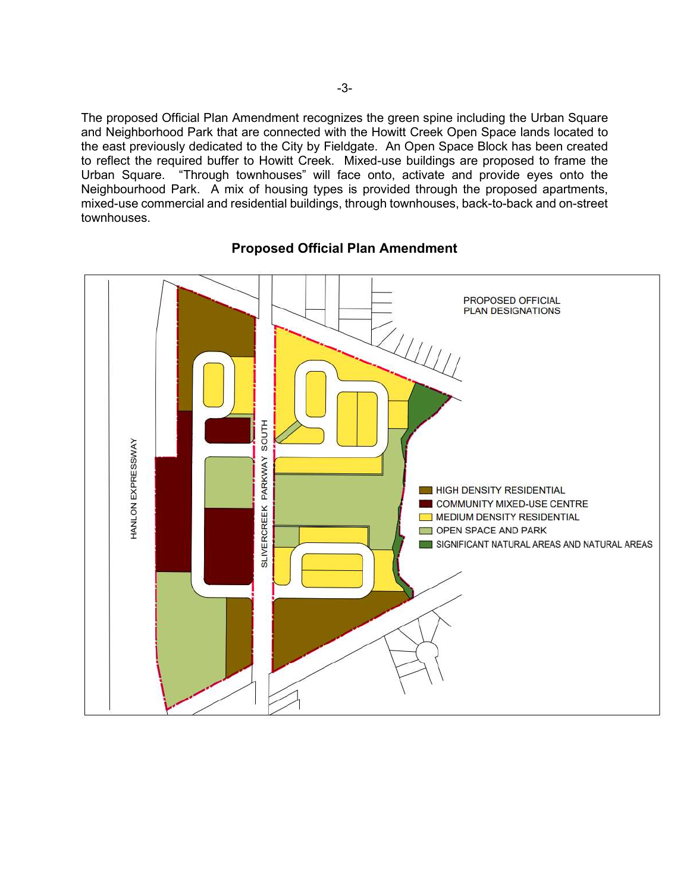The proposed Official Plan Amendment recognizes the green spine including the Urban Square and Neighborhood Park that are connected with the Howitt Creek Open Space lands located to the east previously dedicated to the City by Fieldgate. An Open Space Block has been created to reflect the required buffer to Howitt Creek. Mixed-use buildings are proposed to frame the Urban Square. "Through townhouses" will face onto, activate and provide eyes onto the Neighbourhood Park. A mix of housing types is provided through the proposed apartments, mixed-use commercial and residential buildings, through townhouses, back-to-back and on-street townhouses.



### Proposed Official Plan Amendment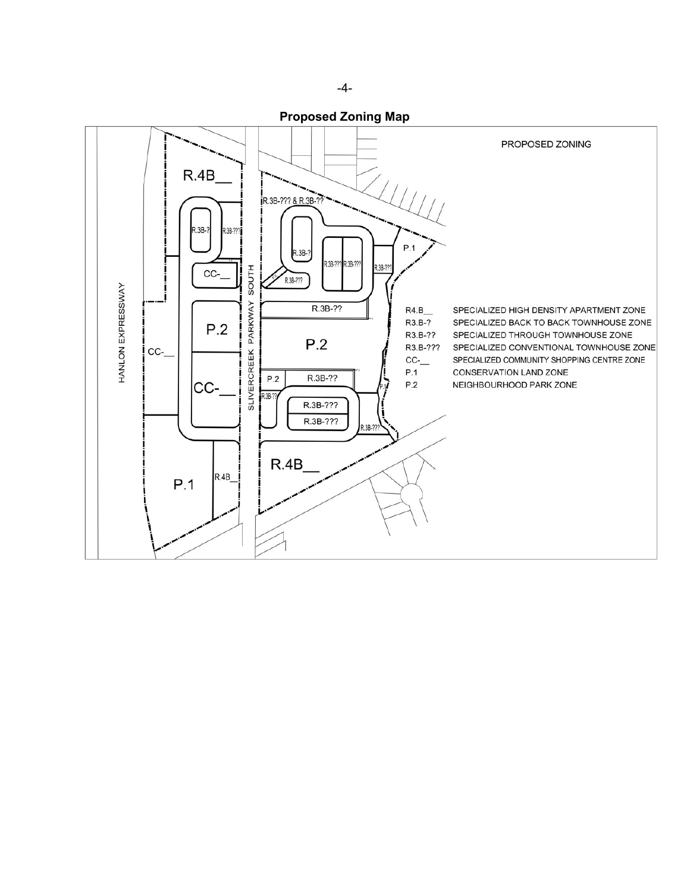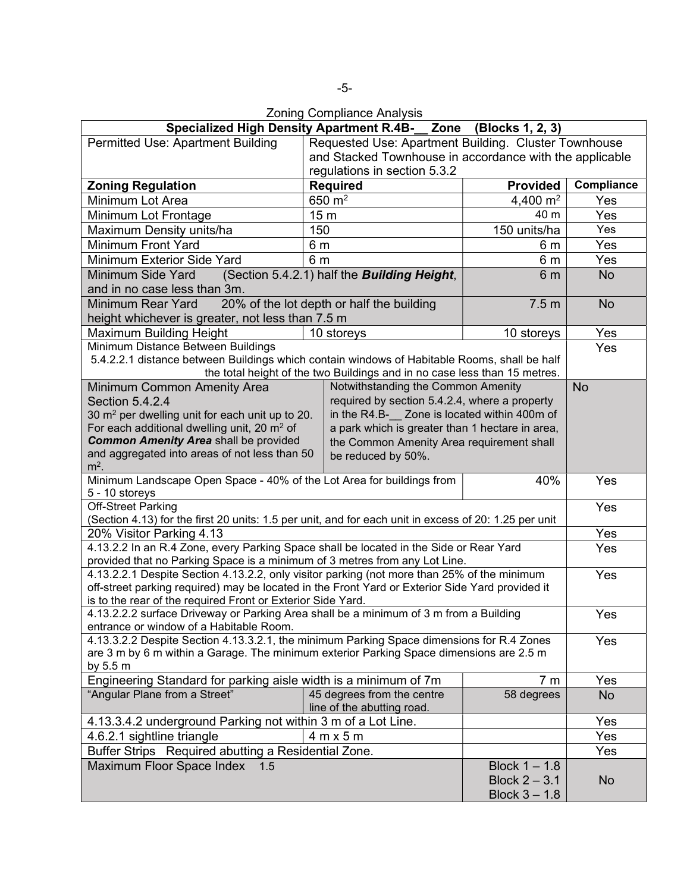| <b>Zoning Compliance Analysis</b>                                                                                                                    |                 |                                                                           |                  |            |  |  |
|------------------------------------------------------------------------------------------------------------------------------------------------------|-----------------|---------------------------------------------------------------------------|------------------|------------|--|--|
| <b>Specialized High Density Apartment R.4B-_ Zone</b><br>(Blocks 1, 2, 3)                                                                            |                 |                                                                           |                  |            |  |  |
| Permitted Use: Apartment Building                                                                                                                    |                 | Requested Use: Apartment Building. Cluster Townhouse                      |                  |            |  |  |
|                                                                                                                                                      |                 | and Stacked Townhouse in accordance with the applicable                   |                  |            |  |  |
|                                                                                                                                                      |                 | regulations in section 5.3.2                                              |                  |            |  |  |
| <b>Zoning Regulation</b>                                                                                                                             |                 | <b>Required</b>                                                           | <b>Provided</b>  | Compliance |  |  |
| Minimum Lot Area                                                                                                                                     |                 | 650 $m^2$                                                                 | 4,400 $m2$       | Yes        |  |  |
| Minimum Lot Frontage                                                                                                                                 | 15 <sub>m</sub> |                                                                           | 40 m             | Yes        |  |  |
| Maximum Density units/ha                                                                                                                             | 150             |                                                                           | 150 units/ha     | Yes        |  |  |
| <b>Minimum Front Yard</b>                                                                                                                            | 6 m             |                                                                           | 6 m              | Yes        |  |  |
| Minimum Exterior Side Yard                                                                                                                           | 6 m             |                                                                           | 6 <sub>m</sub>   | Yes        |  |  |
| Minimum Side Yard                                                                                                                                    |                 | (Section 5.4.2.1) half the <b>Building Height</b> ,                       | 6 <sub>m</sub>   | <b>No</b>  |  |  |
| and in no case less than 3m.                                                                                                                         |                 |                                                                           |                  |            |  |  |
| <b>Minimum Rear Yard</b>                                                                                                                             |                 | 20% of the lot depth or half the building                                 | 7.5 <sub>m</sub> | <b>No</b>  |  |  |
| height whichever is greater, not less than 7.5 m                                                                                                     |                 |                                                                           |                  |            |  |  |
| Maximum Building Height                                                                                                                              |                 | 10 storeys                                                                | 10 storeys       | Yes        |  |  |
| Minimum Distance Between Buildings                                                                                                                   |                 |                                                                           |                  | Yes        |  |  |
| 5.4.2.2.1 distance between Buildings which contain windows of Habitable Rooms, shall be half                                                         |                 |                                                                           |                  |            |  |  |
|                                                                                                                                                      |                 | the total height of the two Buildings and in no case less than 15 metres. |                  |            |  |  |
| Minimum Common Amenity Area                                                                                                                          |                 | Notwithstanding the Common Amenity                                        |                  | <b>No</b>  |  |  |
| Section 5.4.2.4                                                                                                                                      |                 | required by section 5.4.2.4, where a property                             |                  |            |  |  |
| 30 m <sup>2</sup> per dwelling unit for each unit up to 20.                                                                                          |                 | in the R4.B- Zone is located within 400m of                               |                  |            |  |  |
| For each additional dwelling unit, 20 m <sup>2</sup> of<br><b>Common Amenity Area shall be provided</b>                                              |                 | a park which is greater than 1 hectare in area,                           |                  |            |  |  |
| and aggregated into areas of not less than 50                                                                                                        |                 | the Common Amenity Area requirement shall<br>be reduced by 50%.           |                  |            |  |  |
| $m2$ .                                                                                                                                               |                 |                                                                           |                  |            |  |  |
| Minimum Landscape Open Space - 40% of the Lot Area for buildings from                                                                                |                 |                                                                           | 40%              | Yes        |  |  |
| 5 - 10 storeys                                                                                                                                       |                 |                                                                           |                  |            |  |  |
| <b>Off-Street Parking</b>                                                                                                                            |                 |                                                                           |                  | Yes        |  |  |
| (Section 4.13) for the first 20 units: 1.5 per unit, and for each unit in excess of 20: 1.25 per unit                                                |                 |                                                                           |                  | Yes        |  |  |
| 20% Visitor Parking 4.13                                                                                                                             |                 |                                                                           |                  |            |  |  |
| 4.13.2.2 In an R.4 Zone, every Parking Space shall be located in the Side or Rear Yard                                                               |                 |                                                                           |                  |            |  |  |
| provided that no Parking Space is a minimum of 3 metres from any Lot Line.                                                                           |                 |                                                                           |                  |            |  |  |
| 4.13.2.2.1 Despite Section 4.13.2.2, only visitor parking (not more than 25% of the minimum                                                          |                 |                                                                           |                  |            |  |  |
| off-street parking required) may be located in the Front Yard or Exterior Side Yard provided it                                                      |                 |                                                                           |                  |            |  |  |
| is to the rear of the required Front or Exterior Side Yard.<br>4.13.2.2.2 surface Driveway or Parking Area shall be a minimum of 3 m from a Building |                 |                                                                           |                  |            |  |  |
| entrance or window of a Habitable Room.                                                                                                              |                 |                                                                           |                  |            |  |  |
| 4.13.3.2.2 Despite Section 4.13.3.2.1, the minimum Parking Space dimensions for R.4 Zones                                                            |                 |                                                                           |                  |            |  |  |
| Yes<br>are 3 m by 6 m within a Garage. The minimum exterior Parking Space dimensions are 2.5 m                                                       |                 |                                                                           |                  |            |  |  |
| by $5.5 \text{ m}$                                                                                                                                   |                 |                                                                           |                  |            |  |  |
| Engineering Standard for parking aisle width is a minimum of 7m                                                                                      |                 |                                                                           | 7 <sub>m</sub>   | Yes        |  |  |
| "Angular Plane from a Street"                                                                                                                        |                 | 45 degrees from the centre                                                | 58 degrees       | No         |  |  |
| line of the abutting road.                                                                                                                           |                 |                                                                           |                  |            |  |  |
| 4.13.3.4.2 underground Parking not within 3 m of a Lot Line.                                                                                         |                 |                                                                           |                  |            |  |  |
| 4.6.2.1 sightline triangle<br>4 m x 5 m                                                                                                              |                 |                                                                           |                  |            |  |  |
| Buffer Strips Required abutting a Residential Zone.                                                                                                  |                 |                                                                           |                  |            |  |  |
| Maximum Floor Space Index<br>1.5                                                                                                                     |                 |                                                                           | Block $1 - 1.8$  |            |  |  |
|                                                                                                                                                      | Block $2 - 3.1$ | <b>No</b>                                                                 |                  |            |  |  |
|                                                                                                                                                      |                 |                                                                           | Block $3 - 1.8$  |            |  |  |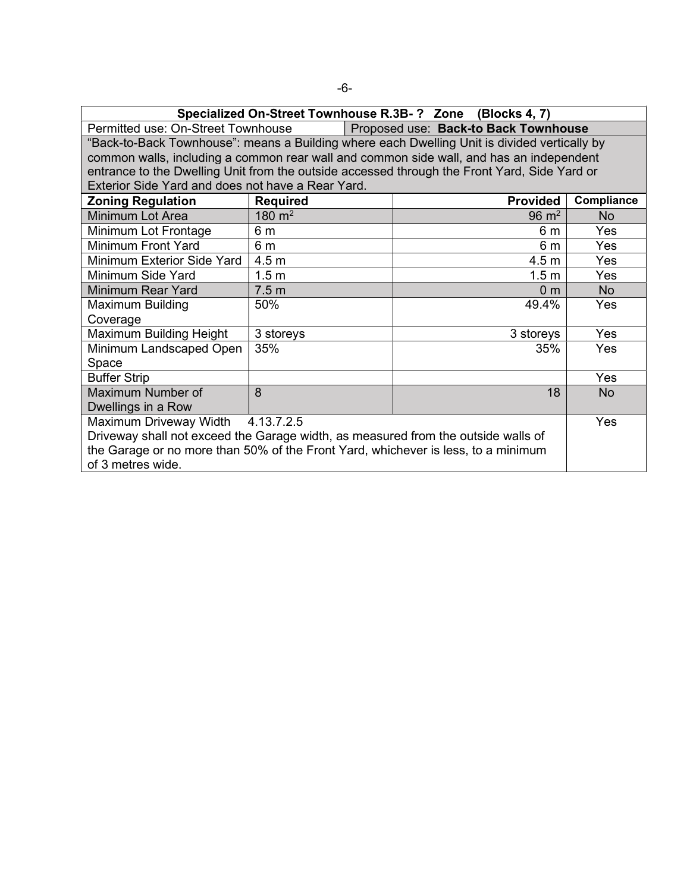| Specialized On-Street Townhouse R.3B-? Zone<br>(Blocks 4, 7)                                 |                  |  |                                                                                         |            |
|----------------------------------------------------------------------------------------------|------------------|--|-----------------------------------------------------------------------------------------|------------|
| Permitted use: On-Street Townhouse<br>Proposed use: Back-to Back Townhouse                   |                  |  |                                                                                         |            |
| "Back-to-Back Townhouse": means a Building where each Dwelling Unit is divided vertically by |                  |  |                                                                                         |            |
|                                                                                              |                  |  | common walls, including a common rear wall and common side wall, and has an independent |            |
| entrance to the Dwelling Unit from the outside accessed through the Front Yard, Side Yard or |                  |  |                                                                                         |            |
| Exterior Side Yard and does not have a Rear Yard.                                            |                  |  |                                                                                         |            |
| <b>Zoning Regulation</b>                                                                     | <b>Required</b>  |  | <b>Provided</b>                                                                         | Compliance |
| <b>Minimum Lot Area</b>                                                                      | 180 $m2$         |  | $96 \text{ m}^2$                                                                        | <b>No</b>  |
| Minimum Lot Frontage                                                                         | 6 m              |  | 6 m                                                                                     | Yes        |
| <b>Minimum Front Yard</b>                                                                    | 6 m              |  | 6 m                                                                                     | Yes        |
| Minimum Exterior Side Yard                                                                   | 4.5 <sub>m</sub> |  | 4.5 <sub>m</sub>                                                                        | Yes        |
| Minimum Side Yard                                                                            | 1.5 <sub>m</sub> |  | 1.5 <sub>m</sub>                                                                        | <b>Yes</b> |
| <b>Minimum Rear Yard</b>                                                                     | 7.5 <sub>m</sub> |  | 0 <sub>m</sub>                                                                          | No         |
| <b>Maximum Building</b>                                                                      | 50%              |  | 49.4%                                                                                   | <b>Yes</b> |
| Coverage                                                                                     |                  |  |                                                                                         |            |
| Maximum Building Height                                                                      | 3 storeys        |  | 3 storeys                                                                               | <b>Yes</b> |
| Minimum Landscaped Open                                                                      | 35%              |  | 35%                                                                                     | Yes        |
| Space                                                                                        |                  |  |                                                                                         |            |
| <b>Buffer Strip</b>                                                                          |                  |  |                                                                                         | <b>Yes</b> |
| Maximum Number of                                                                            | 8                |  | 18                                                                                      | <b>No</b>  |
| Dwellings in a Row                                                                           |                  |  |                                                                                         |            |
| Maximum Driveway Width 4.13.7.2.5                                                            |                  |  |                                                                                         | <b>Yes</b> |
| Driveway shall not exceed the Garage width, as measured from the outside walls of            |                  |  |                                                                                         |            |
| the Garage or no more than 50% of the Front Yard, whichever is less, to a minimum            |                  |  |                                                                                         |            |
| of 3 metres wide.                                                                            |                  |  |                                                                                         |            |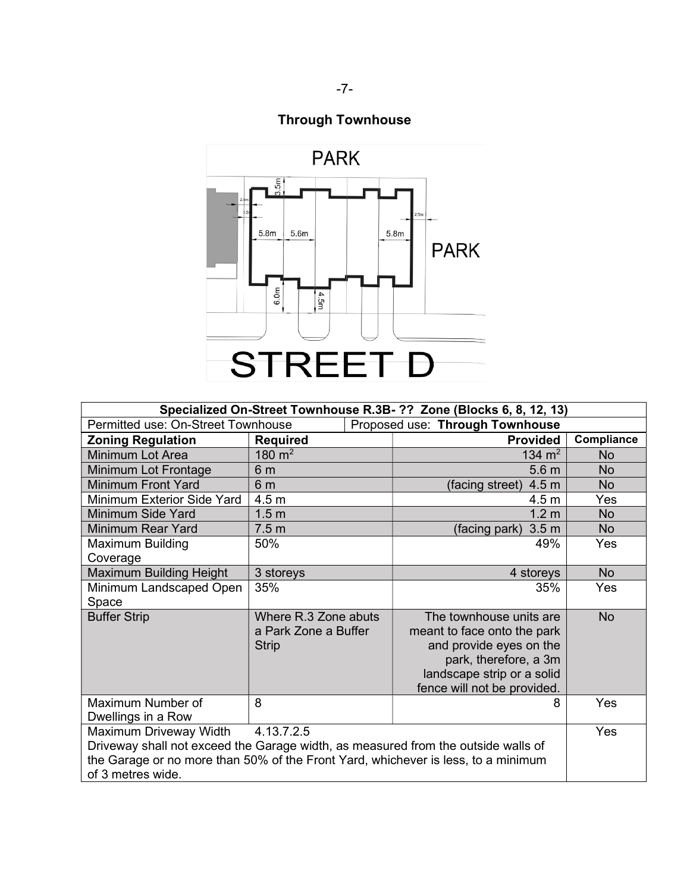Through Townhouse



| Specialized On-Street Townhouse R.3B- ?? Zone (Blocks 6, 8, 12, 13)               |                      |                                 |                                     |            |  |
|-----------------------------------------------------------------------------------|----------------------|---------------------------------|-------------------------------------|------------|--|
| Permitted use: On-Street Townhouse                                                |                      | Proposed use: Through Townhouse |                                     |            |  |
| <b>Zoning Regulation</b>                                                          | <b>Required</b>      |                                 | <b>Provided</b>                     | Compliance |  |
| <b>Minimum Lot Area</b>                                                           | 180 $m2$             |                                 | 134 m <sup>2</sup>                  | No         |  |
| Minimum Lot Frontage                                                              | 6 <sub>m</sub>       |                                 | 5.6 <sub>m</sub>                    | <b>No</b>  |  |
| <b>Minimum Front Yard</b>                                                         | 6 <sub>m</sub>       |                                 | 4.5 <sub>m</sub><br>(facing street) | <b>No</b>  |  |
| Minimum Exterior Side Yard                                                        | 4.5 <sub>m</sub>     |                                 | 4.5 <sub>m</sub>                    | Yes        |  |
| Minimum Side Yard                                                                 | 1.5 <sub>m</sub>     |                                 | 1.2 <sub>m</sub>                    | No.        |  |
| Minimum Rear Yard                                                                 | 7.5 <sub>m</sub>     |                                 | 3.5 <sub>m</sub><br>(facing park)   | <b>No</b>  |  |
| Maximum Building                                                                  | 50%                  |                                 | 49%                                 | Yes        |  |
| Coverage                                                                          |                      |                                 |                                     |            |  |
| <b>Maximum Building Height</b>                                                    | 3 storeys            |                                 | 4 storeys                           | No.        |  |
| Minimum Landscaped Open                                                           | 35%                  |                                 | 35%                                 | Yes        |  |
| Space                                                                             |                      |                                 |                                     |            |  |
| <b>Buffer Strip</b>                                                               | Where R.3 Zone abuts |                                 | The townhouse units are             | <b>No</b>  |  |
|                                                                                   | a Park Zone a Buffer |                                 | meant to face onto the park         |            |  |
|                                                                                   | <b>Strip</b>         |                                 | and provide eyes on the             |            |  |
|                                                                                   |                      |                                 | park, therefore, a 3m               |            |  |
|                                                                                   |                      |                                 | landscape strip or a solid          |            |  |
|                                                                                   |                      |                                 | fence will not be provided.         |            |  |
| Maximum Number of                                                                 | 8                    |                                 | 8                                   | Yes        |  |
| Dwellings in a Row                                                                |                      |                                 |                                     |            |  |
| 4.13.7.2.5<br>Maximum Driveway Width                                              |                      |                                 |                                     |            |  |
| Driveway shall not exceed the Garage width, as measured from the outside walls of |                      |                                 |                                     |            |  |
| the Garage or no more than 50% of the Front Yard, whichever is less, to a minimum |                      |                                 |                                     |            |  |
| of 3 metres wide.                                                                 |                      |                                 |                                     |            |  |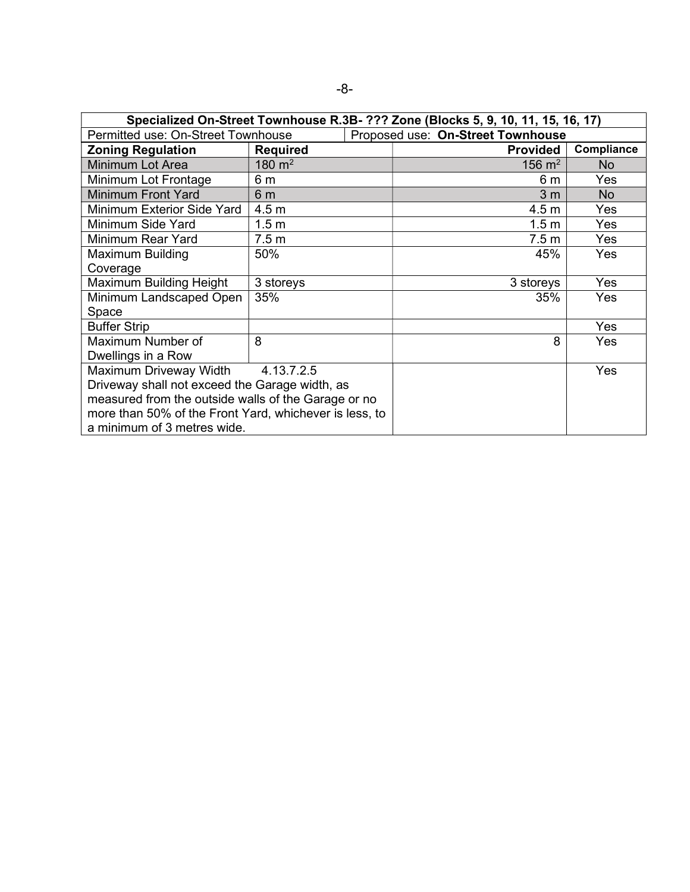| Specialized On-Street Townhouse R.3B- ??? Zone (Blocks 5, 9, 10, 11, 15, 16, 17) |                  |  |                                   |            |  |
|----------------------------------------------------------------------------------|------------------|--|-----------------------------------|------------|--|
| Permitted use: On-Street Townhouse                                               |                  |  | Proposed use: On-Street Townhouse |            |  |
| <b>Zoning Regulation</b>                                                         | <b>Required</b>  |  | <b>Provided</b>                   | Compliance |  |
| <b>Minimum Lot Area</b>                                                          | 180 $m2$         |  | 156 m <sup>2</sup>                | No.        |  |
| Minimum Lot Frontage                                                             | 6 <sub>m</sub>   |  | 6 m                               | <b>Yes</b> |  |
| <b>Minimum Front Yard</b>                                                        | 6 <sub>m</sub>   |  | 3 <sub>m</sub>                    | No.        |  |
| Minimum Exterior Side Yard                                                       | 4.5 <sub>m</sub> |  | 4.5 <sub>m</sub>                  | <b>Yes</b> |  |
| Minimum Side Yard                                                                | 1.5 <sub>m</sub> |  | 1.5 <sub>m</sub>                  | <b>Yes</b> |  |
| Minimum Rear Yard                                                                | 7.5 <sub>m</sub> |  | 7.5 <sub>m</sub>                  | Yes        |  |
| Maximum Building                                                                 | 50%              |  | 45%                               | Yes        |  |
| Coverage                                                                         |                  |  |                                   |            |  |
| Maximum Building Height                                                          | 3 storeys        |  | 3 storeys                         | Yes        |  |
| Minimum Landscaped Open                                                          | 35%              |  | 35%                               | <b>Yes</b> |  |
| Space                                                                            |                  |  |                                   |            |  |
| <b>Buffer Strip</b>                                                              |                  |  |                                   | <b>Yes</b> |  |
| Maximum Number of                                                                | 8                |  | 8                                 | Yes        |  |
| Dwellings in a Row                                                               |                  |  |                                   |            |  |
| Maximum Driveway Width<br>4.13.7.2.5                                             |                  |  |                                   | Yes        |  |
| Driveway shall not exceed the Garage width, as                                   |                  |  |                                   |            |  |
| measured from the outside walls of the Garage or no                              |                  |  |                                   |            |  |
| more than 50% of the Front Yard, whichever is less, to                           |                  |  |                                   |            |  |
| a minimum of 3 metres wide.                                                      |                  |  |                                   |            |  |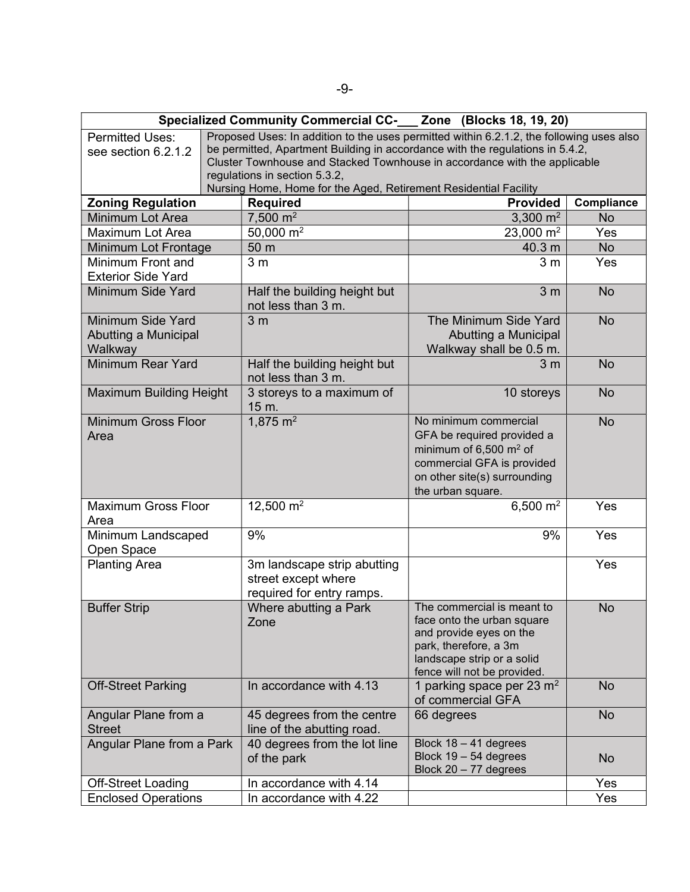| Specialized Community Commercial CC-<br>Zone (Blocks 18, 19, 20) |                                                                                                            |                                                                                                                                                                                |            |  |  |  |
|------------------------------------------------------------------|------------------------------------------------------------------------------------------------------------|--------------------------------------------------------------------------------------------------------------------------------------------------------------------------------|------------|--|--|--|
| <b>Permitted Uses:</b>                                           | Proposed Uses: In addition to the uses permitted within 6.2.1.2, the following uses also                   |                                                                                                                                                                                |            |  |  |  |
|                                                                  | be permitted, Apartment Building in accordance with the regulations in 5.4.2,<br>see section 6.2.1.2       |                                                                                                                                                                                |            |  |  |  |
|                                                                  | Cluster Townhouse and Stacked Townhouse in accordance with the applicable<br>regulations in section 5.3.2, |                                                                                                                                                                                |            |  |  |  |
| Nursing Home, Home for the Aged, Retirement Residential Facility |                                                                                                            |                                                                                                                                                                                |            |  |  |  |
| <b>Zoning Regulation</b>                                         | <b>Required</b>                                                                                            | <b>Provided</b>                                                                                                                                                                | Compliance |  |  |  |
| Minimum Lot Area                                                 | $7,500 \text{ m}^2$                                                                                        | 3,300 $m2$                                                                                                                                                                     | <b>No</b>  |  |  |  |
| <b>Maximum Lot Area</b>                                          | 50,000 $m2$                                                                                                | 23,000 $m2$                                                                                                                                                                    | Yes        |  |  |  |
| Minimum Lot Frontage                                             | 50 m                                                                                                       | 40.3 m                                                                                                                                                                         | <b>No</b>  |  |  |  |
| Minimum Front and                                                | 3 <sub>m</sub>                                                                                             | 3 <sub>m</sub>                                                                                                                                                                 | Yes        |  |  |  |
| <b>Exterior Side Yard</b>                                        |                                                                                                            |                                                                                                                                                                                |            |  |  |  |
| <b>Minimum Side Yard</b>                                         | Half the building height but<br>not less than 3 m.                                                         | 3 <sub>m</sub>                                                                                                                                                                 | <b>No</b>  |  |  |  |
| Minimum Side Yard                                                | 3 <sub>m</sub>                                                                                             | The Minimum Side Yard                                                                                                                                                          | <b>No</b>  |  |  |  |
| Abutting a Municipal                                             |                                                                                                            | Abutting a Municipal                                                                                                                                                           |            |  |  |  |
| Walkway                                                          |                                                                                                            | Walkway shall be 0.5 m.                                                                                                                                                        |            |  |  |  |
| <b>Minimum Rear Yard</b>                                         | Half the building height but<br>not less than 3 m.                                                         | 3 <sub>m</sub>                                                                                                                                                                 | <b>No</b>  |  |  |  |
| <b>Maximum Building Height</b>                                   | 3 storeys to a maximum of<br>15 m.                                                                         | 10 storeys                                                                                                                                                                     | <b>No</b>  |  |  |  |
| Minimum Gross Floor<br>Area                                      | $1,875 \text{ m}^2$                                                                                        | No minimum commercial<br>GFA be required provided a<br>minimum of $6,500$ m <sup>2</sup> of<br>commercial GFA is provided<br>on other site(s) surrounding<br>the urban square. | <b>No</b>  |  |  |  |
| <b>Maximum Gross Floor</b><br>Area                               | 12,500 $\overline{m^2}$                                                                                    | 6,500 $m2$                                                                                                                                                                     | Yes        |  |  |  |
| Minimum Landscaped<br>Open Space                                 | 9%                                                                                                         | 9%                                                                                                                                                                             | Yes        |  |  |  |
| <b>Planting Area</b>                                             | 3m landscape strip abutting<br>street except where<br>required for entry ramps.                            |                                                                                                                                                                                | Yes        |  |  |  |
| <b>Buffer Strip</b>                                              | Where abutting a Park<br>Zone                                                                              | The commercial is meant to<br>face onto the urban square<br>and provide eyes on the<br>park, therefore, a 3m<br>landscape strip or a solid<br>fence will not be provided.      | <b>No</b>  |  |  |  |
| <b>Off-Street Parking</b>                                        | In accordance with 4.13                                                                                    | 1 parking space per 23 m <sup>2</sup><br>of commercial GFA                                                                                                                     | <b>No</b>  |  |  |  |
| Angular Plane from a<br><b>Street</b>                            | 45 degrees from the centre<br>line of the abutting road.                                                   | 66 degrees                                                                                                                                                                     | <b>No</b>  |  |  |  |
| Angular Plane from a Park                                        | 40 degrees from the lot line<br>of the park                                                                | Block $18 - 41$ degrees<br>Block $19 - 54$ degrees<br>Block $20 - 77$ degrees                                                                                                  | <b>No</b>  |  |  |  |
| <b>Off-Street Loading</b>                                        | In accordance with 4.14                                                                                    |                                                                                                                                                                                | Yes        |  |  |  |
| <b>Enclosed Operations</b>                                       | In accordance with 4.22                                                                                    |                                                                                                                                                                                | Yes        |  |  |  |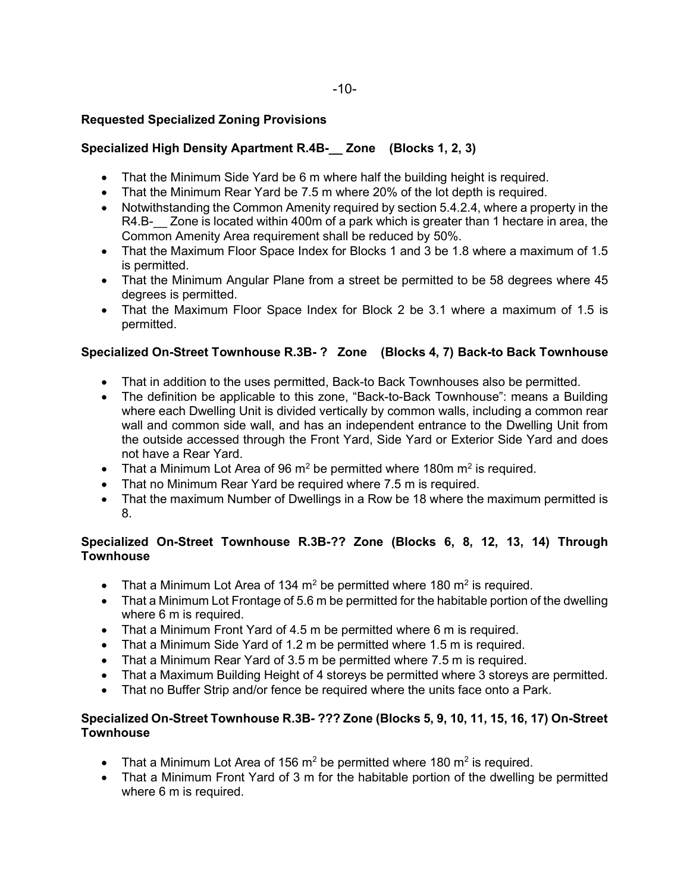### Requested Specialized Zoning Provisions

## Specialized High Density Apartment R.4B-\_\_ Zone (Blocks 1, 2, 3)

- That the Minimum Side Yard be 6 m where half the building height is required.
- That the Minimum Rear Yard be 7.5 m where 20% of the lot depth is required.
- Notwithstanding the Common Amenity required by section 5.4.2.4, where a property in the R4.B-\_\_ Zone is located within 400m of a park which is greater than 1 hectare in area, the Common Amenity Area requirement shall be reduced by 50%.
- That the Maximum Floor Space Index for Blocks 1 and 3 be 1.8 where a maximum of 1.5 is permitted.
- That the Minimum Angular Plane from a street be permitted to be 58 degrees where 45 degrees is permitted.
- That the Maximum Floor Space Index for Block 2 be 3.1 where a maximum of 1.5 is permitted.

### Specialized On-Street Townhouse R.3B- ? Zone (Blocks 4, 7) Back-to Back Townhouse

- That in addition to the uses permitted, Back-to Back Townhouses also be permitted.
- The definition be applicable to this zone, "Back-to-Back Townhouse": means a Building where each Dwelling Unit is divided vertically by common walls, including a common rear wall and common side wall, and has an independent entrance to the Dwelling Unit from the outside accessed through the Front Yard, Side Yard or Exterior Side Yard and does not have a Rear Yard.
- That a Minimum Lot Area of 96 m<sup>2</sup> be permitted where 180m m<sup>2</sup> is required.
- That no Minimum Rear Yard be required where 7.5 m is required.
- That the maximum Number of Dwellings in a Row be 18 where the maximum permitted is 8.

### Specialized On-Street Townhouse R.3B-?? Zone (Blocks 6, 8, 12, 13, 14) Through **Townhouse**

- That a Minimum Lot Area of 134 m<sup>2</sup> be permitted where 180 m<sup>2</sup> is required.
- That a Minimum Lot Frontage of 5.6 m be permitted for the habitable portion of the dwelling where 6 m is required.
- That a Minimum Front Yard of 4.5 m be permitted where 6 m is required.
- That a Minimum Side Yard of 1.2 m be permitted where 1.5 m is required.
- That a Minimum Rear Yard of 3.5 m be permitted where 7.5 m is required.
- That a Maximum Building Height of 4 storeys be permitted where 3 storeys are permitted.
- That no Buffer Strip and/or fence be required where the units face onto a Park.

# Specialized On-Street Townhouse R.3B- ??? Zone (Blocks 5, 9, 10, 11, 15, 16, 17) On-Street **Townhouse**

- That a Minimum Lot Area of 156 m<sup>2</sup> be permitted where 180 m<sup>2</sup> is required.
- That a Minimum Front Yard of 3 m for the habitable portion of the dwelling be permitted where 6 m is required.